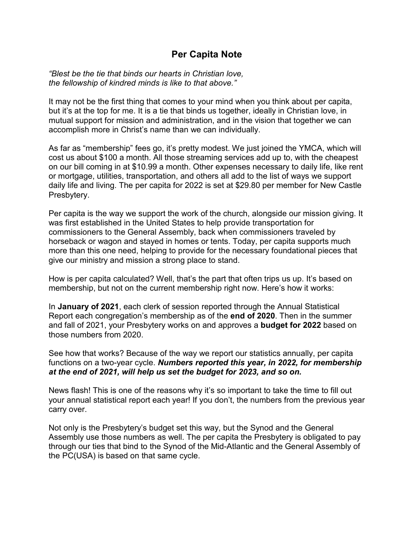## Per Capita Note

"Blest be the tie that binds our hearts in Christian love, the fellowship of kindred minds is like to that above."

It may not be the first thing that comes to your mind when you think about per capita, but it's at the top for me. It is a tie that binds us together, ideally in Christian love, in mutual support for mission and administration, and in the vision that together we can accomplish more in Christ's name than we can individually.

As far as "membership" fees go, it's pretty modest. We just joined the YMCA, which will cost us about \$100 a month. All those streaming services add up to, with the cheapest on our bill coming in at \$10.99 a month. Other expenses necessary to daily life, like rent or mortgage, utilities, transportation, and others all add to the list of ways we support daily life and living. The per capita for 2022 is set at \$29.80 per member for New Castle Presbytery.

Per capita is the way we support the work of the church, alongside our mission giving. It was first established in the United States to help provide transportation for commissioners to the General Assembly, back when commissioners traveled by horseback or wagon and stayed in homes or tents. Today, per capita supports much more than this one need, helping to provide for the necessary foundational pieces that give our ministry and mission a strong place to stand.

How is per capita calculated? Well, that's the part that often trips us up. It's based on membership, but not on the current membership right now. Here's how it works:

In January of 2021, each clerk of session reported through the Annual Statistical Report each congregation's membership as of the end of 2020. Then in the summer and fall of 2021, your Presbytery works on and approves a budget for 2022 based on those numbers from 2020.

See how that works? Because of the way we report our statistics annually, per capita functions on a two-year cycle. Numbers reported this year, in 2022, for membership at the end of 2021, will help us set the budget for 2023, and so on.

News flash! This is one of the reasons why it's so important to take the time to fill out your annual statistical report each year! If you don't, the numbers from the previous year carry over.

Not only is the Presbytery's budget set this way, but the Synod and the General Assembly use those numbers as well. The per capita the Presbytery is obligated to pay through our ties that bind to the Synod of the Mid-Atlantic and the General Assembly of the PC(USA) is based on that same cycle.